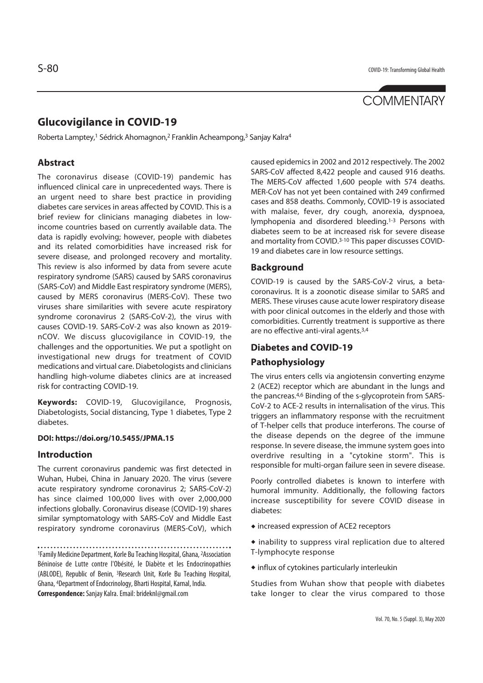# **COMMENTARY**

# **Glucovigilance in COVID-19**

Roberta Lamptey,1 Sédrick Ahomagnon,2 Franklin Acheampong,3 Sanjay Kalra4

# **Abstract**

The coronavirus disease (COVID-19) pandemic has influenced clinical care in unprecedented ways. There is an urgent need to share best practice in providing diabetes care services in areas affected by COVID. This is a brief review for clinicians managing diabetes in lowincome countries based on currently available data. The data is rapidly evolving; however, people with diabetes and its related comorbidities have increased risk for severe disease, and prolonged recovery and mortality. This review is also informed by data from severe acute respiratory syndrome (SARS) caused by SARS coronavirus (SARS-CoV) and Middle East respiratory syndrome (MERS), caused by MERS coronavirus (MERS-CoV). These two viruses share similarities with severe acute respiratory syndrome coronavirus 2 (SARS-CoV-2), the virus with causes COVID-19. SARS-CoV-2 was also known as 2019 nCOV. We discuss glucovigilance in COVID-19, the challenges and the opportunities. We put a spotlight on investigational new drugs for treatment of COVID medications and virtual care. Diabetologists and clinicians handling high-volume diabetes clinics are at increased risk for contracting COVID-19.

**Keywords:** COVID-19, Glucovigilance, Prognosis, Diabetologists, Social distancing, Type 1 diabetes, Type 2 diabetes.

#### **DOI: https://doi.org/10.5455/JPMA.15**

#### **Introduction**

The current coronavirus pandemic was first detected in Wuhan, Hubei, China in January 2020. The virus (severe acute respiratory syndrome coronavirus 2; SARS-CoV-2) has since claimed 100,000 lives with over 2,000,000 infections globally. Coronavirus disease (COVID-19) shares similar symptomatology with SARS-CoV and Middle East respiratory syndrome coronavirus (MERS-CoV), which

1Family Medicine Department, Korle Bu Teaching Hospital, Ghana, 2Association Béninoise de Lutte contre l'Obésité, le Diabète et les Endocrinopathies (ABLODE), Republic of Benin, 3Research Unit, Korle Bu Teaching Hospital, Ghana, 4Department of Endocrinology, Bharti Hospital, Karnal, India. **Correspondence:** Sanjay Kalra. Email: brideknl@gmail.com

caused epidemics in 2002 and 2012 respectively. The 2002 SARS-CoV affected 8,422 people and caused 916 deaths. The MERS-CoV affected 1,600 people with 574 deaths. MER-CoV has not yet been contained with 249 confirmed cases and 858 deaths. Commonly, COVID-19 is associated with malaise, fever, dry cough, anorexia, dyspnoea, lymphopenia and disordered bleeding.1-3 Persons with diabetes seem to be at increased risk for severe disease and mortality from COVID.3-10 This paper discusses COVID-19 and diabetes care in low resource settings.

#### **Background**

COVID-19 is caused by the SARS-CoV-2 virus, a betacoronavirus. It is a zoonotic disease similar to SARS and MERS. These viruses cause acute lower respiratory disease with poor clinical outcomes in the elderly and those with comorbidities. Currently treatment is supportive as there are no effective anti-viral agents.3,4

### **Diabetes and COVID-19**

#### **Pathophysiology**

The virus enters cells via angiotensin converting enzyme 2 (ACE2) receptor which are abundant in the lungs and the pancreas.4,6 Binding of the s-glycoprotein from SARS-CoV-2 to ACE-2 results in internalisation of the virus. This triggers an inflammatory response with the recruitment of T-helper cells that produce interferons. The course of the disease depends on the degree of the immune response. In severe disease, the immune system goes into overdrive resulting in a "cytokine storm". This is responsible for multi-organ failure seen in severe disease.

Poorly controlled diabetes is known to interfere with humoral immunity. Additionally, the following factors increase susceptibility for severe COVID disease in diabetes:

- increased expression of ACE2 receptors
- $\bullet$  inability to suppress viral replication due to altered T-lymphocyte response
- $\bullet$  influx of cytokines particularly interleukin

Studies from Wuhan show that people with diabetes take longer to clear the virus compared to those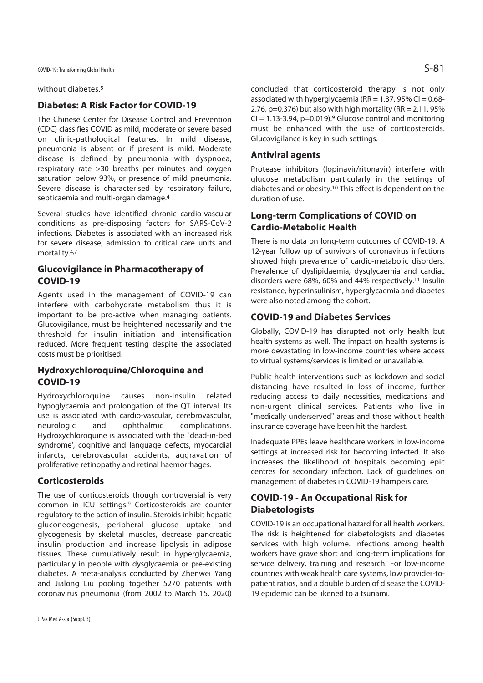without diabetes.5

# **Diabetes: A Risk Factor for COVID-19**

The Chinese Center for Disease Control and Prevention (CDC) classifies COVID as mild, moderate or severe based on clinic-pathological features. In mild disease, pneumonia is absent or if present is mild. Moderate disease is defined by pneumonia with dyspnoea, respiratory rate >30 breaths per minutes and oxygen saturation below 93%, or presence of mild pneumonia. Severe disease is characterised by respiratory failure, septicaemia and multi-organ damage.4

Several studies have identified chronic cardio-vascular conditions as pre-disposing factors for SARS-CoV-2 infections. Diabetes is associated with an increased risk for severe disease, admission to critical care units and mortality.4,7

# **Glucovigilance in Pharmacotherapy of COVID-19**

Agents used in the management of COVID-19 can interfere with carbohydrate metabolism thus it is important to be pro-active when managing patients. Glucovigilance, must be heightened necessarily and the threshold for insulin initiation and intensification reduced. More frequent testing despite the associated costs must be prioritised.

# **Hydroxychloroquine/Chloroquine and COVID-19**

Hydroxychloroquine causes non-insulin related hypoglycaemia and prolongation of the QT interval. Its use is associated with cardio-vascular, cerebrovascular, neurologic and ophthalmic complications. Hydroxychloroquine is associated with the "dead-in-bed syndrome', cognitive and language defects, myocardial infarcts, cerebrovascular accidents, aggravation of proliferative retinopathy and retinal haemorrhages.

### **Corticosteroids**

The use of corticosteroids though controversial is very common in ICU settings.9 Corticosteroids are counter regulatory to the action of insulin. Steroids inhibit hepatic gluconeogenesis, peripheral glucose uptake and glycogenesis by skeletal muscles, decrease pancreatic insulin production and increase lipolysis in adipose tissues. These cumulatively result in hyperglycaemia, particularly in people with dysglycaemia or pre-existing diabetes. A meta-analysis conducted by Zhenwei Yang and Jialong Liu pooling together 5270 patients with coronavirus pneumonia (from 2002 to March 15, 2020)

concluded that corticosteroid therapy is not only associated with hyperglycaemia (RR =  $1.37$ , 95% CI = 0.68-2.76,  $p=0.376$ ) but also with high mortality (RR = 2.11, 95%)  $CI = 1.13 - 3.94$ ,  $p = 0.019$ . Glucose control and monitoring must be enhanced with the use of corticosteroids. Glucovigilance is key in such settings.

# **Antiviral agents**

Protease inhibitors (lopinavir/ritonavir) interfere with glucose metabolism particularly in the settings of diabetes and or obesity.10 This effect is dependent on the duration of use.

# **Long-term Complications of COVID on Cardio-Metabolic Health**

There is no data on long-term outcomes of COVID-19. A 12-year follow up of survivors of coronavirus infections showed high prevalence of cardio-metabolic disorders. Prevalence of dyslipidaemia, dysglycaemia and cardiac disorders were 68%, 60% and 44% respectively.11 Insulin resistance, hyperinsulinism, hyperglycaemia and diabetes were also noted among the cohort.

# **COVID-19 and Diabetes Services**

Globally, COVID-19 has disrupted not only health but health systems as well. The impact on health systems is more devastating in low-income countries where access to virtual systems/services is limited or unavailable.

Public health interventions such as lockdown and social distancing have resulted in loss of income, further reducing access to daily necessities, medications and non-urgent clinical services. Patients who live in "medically underserved" areas and those without health insurance coverage have been hit the hardest.

Inadequate PPEs leave healthcare workers in low-income settings at increased risk for becoming infected. It also increases the likelihood of hospitals becoming epic centres for secondary infection. Lack of guidelines on management of diabetes in COVID-19 hampers care.

# **COVID-19 - An Occupational Risk for Diabetologists**

COVID-19 is an occupational hazard for all health workers. The risk is heightened for diabetologists and diabetes services with high volume. Infections among health workers have grave short and long-term implications for service delivery, training and research. For low-income countries with weak health care systems, low provider-topatient ratios, and a double burden of disease the COVID-19 epidemic can be likened to a tsunami.